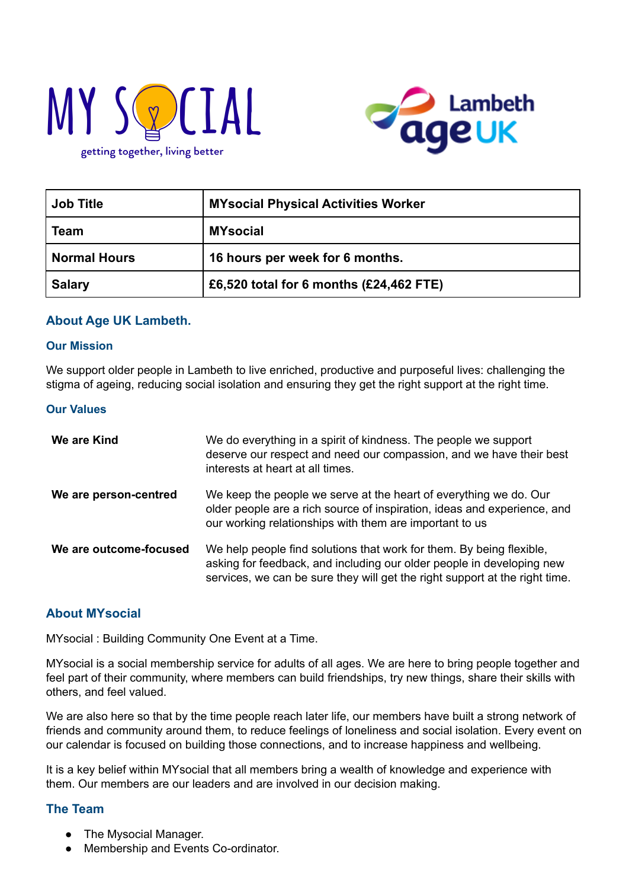



| <b>Job Title</b>    | <b>MYsocial Physical Activities Worker</b> |  |
|---------------------|--------------------------------------------|--|
| <b>Team</b>         | <b>MYsocial</b>                            |  |
| <b>Normal Hours</b> | 16 hours per week for 6 months.            |  |
| <b>Salary</b>       | £6,520 total for 6 months (£24,462 FTE)    |  |

### **About Age UK Lambeth.**

#### **Our Mission**

We support older people in Lambeth to live enriched, productive and purposeful lives: challenging the stigma of ageing, reducing social isolation and ensuring they get the right support at the right time.

#### **Our Values**

| We are Kind            | We do everything in a spirit of kindness. The people we support<br>deserve our respect and need our compassion, and we have their best<br>interests at heart at all times.                                                   |
|------------------------|------------------------------------------------------------------------------------------------------------------------------------------------------------------------------------------------------------------------------|
| We are person-centred  | We keep the people we serve at the heart of everything we do. Our<br>older people are a rich source of inspiration, ideas and experience, and<br>our working relationships with them are important to us                     |
| We are outcome-focused | We help people find solutions that work for them. By being flexible,<br>asking for feedback, and including our older people in developing new<br>services, we can be sure they will get the right support at the right time. |

### **About MYsocial**

MYsocial : Building Community One Event at a Time.

MYsocial is a social membership service for adults of all ages. We are here to bring people together and feel part of their community, where members can build friendships, try new things, share their skills with others, and feel valued.

We are also here so that by the time people reach later life, our members have built a strong network of friends and community around them, to reduce feelings of loneliness and social isolation. Every event on our calendar is focused on building those connections, and to increase happiness and wellbeing.

It is a key belief within MYsocial that all members bring a wealth of knowledge and experience with them. Our members are our leaders and are involved in our decision making.

### **The Team**

- The Mysocial Manager.
- Membership and Events Co-ordinator.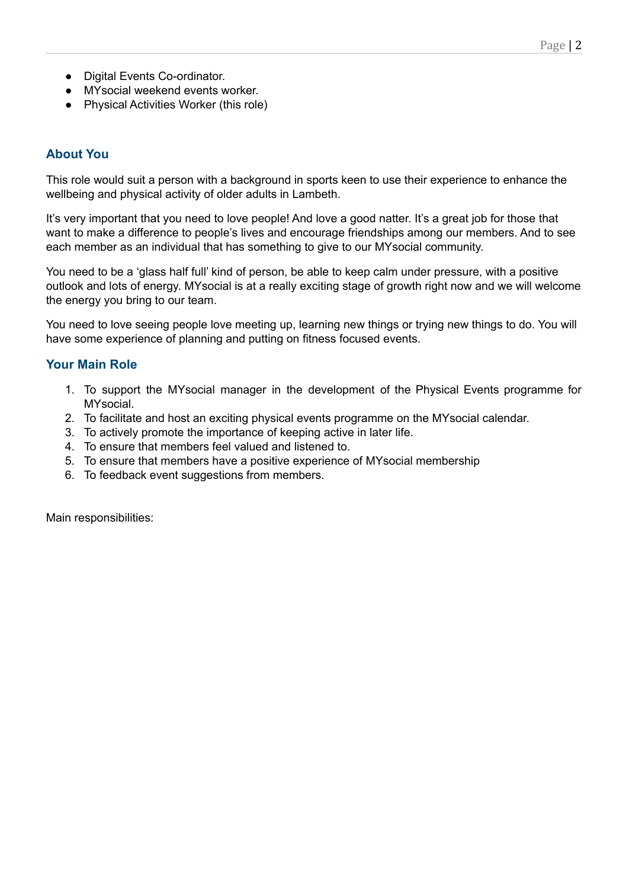- Digital Events Co-ordinator.
- MYsocial weekend events worker.
- Physical Activities Worker (this role)

### **About You**

This role would suit a person with a background in sports keen to use their experience to enhance the wellbeing and physical activity of older adults in Lambeth.

It's very important that you need to love people! And love a good natter. It's a great job for those that want to make a difference to people's lives and encourage friendships among our members. And to see each member as an individual that has something to give to our MYsocial community.

You need to be a 'glass half full' kind of person, be able to keep calm under pressure, with a positive outlook and lots of energy. MYsocial is at a really exciting stage of growth right now and we will welcome the energy you bring to our team.

You need to love seeing people love meeting up, learning new things or trying new things to do. You will have some experience of planning and putting on fitness focused events.

### **Your Main Role**

- 1. To support the MYsocial manager in the development of the Physical Events programme for **MYsocial**
- 2. To facilitate and host an exciting physical events programme on the MYsocial calendar.
- 3. To actively promote the importance of keeping active in later life.
- 4. To ensure that members feel valued and listened to.
- 5. To ensure that members have a positive experience of MYsocial membership
- 6. To feedback event suggestions from members.

Main responsibilities: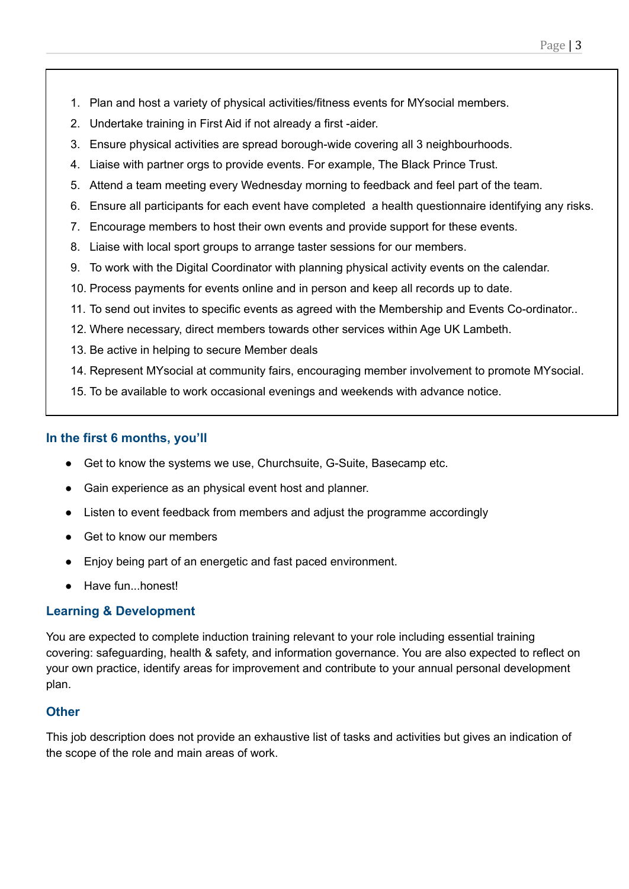- 1. Plan and host a variety of physical activities/fitness events for MYsocial members.
- 2. Undertake training in First Aid if not already a first -aider.
- 3. Ensure physical activities are spread borough-wide covering all 3 neighbourhoods.
- 4. Liaise with partner orgs to provide events. For example, The Black Prince Trust.
- 5. Attend a team meeting every Wednesday morning to feedback and feel part of the team.
- 6. Ensure all participants for each event have completed a health questionnaire identifying any risks.
- 7. Encourage members to host their own events and provide support for these events.
- 8. Liaise with local sport groups to arrange taster sessions for our members.
- 9. To work with the Digital Coordinator with planning physical activity events on the calendar.
- 10. Process payments for events online and in person and keep all records up to date.
- 11. To send out invites to specific events as agreed with the Membership and Events Co-ordinator..
- 12. Where necessary, direct members towards other services within Age UK Lambeth.
- 13. Be active in helping to secure Member deals
- 14. Represent MYsocial at community fairs, encouraging member involvement to promote MYsocial.
- 15. To be available to work occasional evenings and weekends with advance notice.

## **In the first 6 months, you'll**

- Get to know the systems we use, Churchsuite, G-Suite, Basecamp etc.
- Gain experience as an physical event host and planner.
- Listen to event feedback from members and adjust the programme accordingly
- Get to know our members
- Enjoy being part of an energetic and fast paced environment.
- Have fun...honest!

## **Learning & Development**

You are expected to complete induction training relevant to your role including essential training covering: safeguarding, health & safety, and information governance. You are also expected to reflect on your own practice, identify areas for improvement and contribute to your annual personal development plan.

## **Other**

This job description does not provide an exhaustive list of tasks and activities but gives an indication of the scope of the role and main areas of work.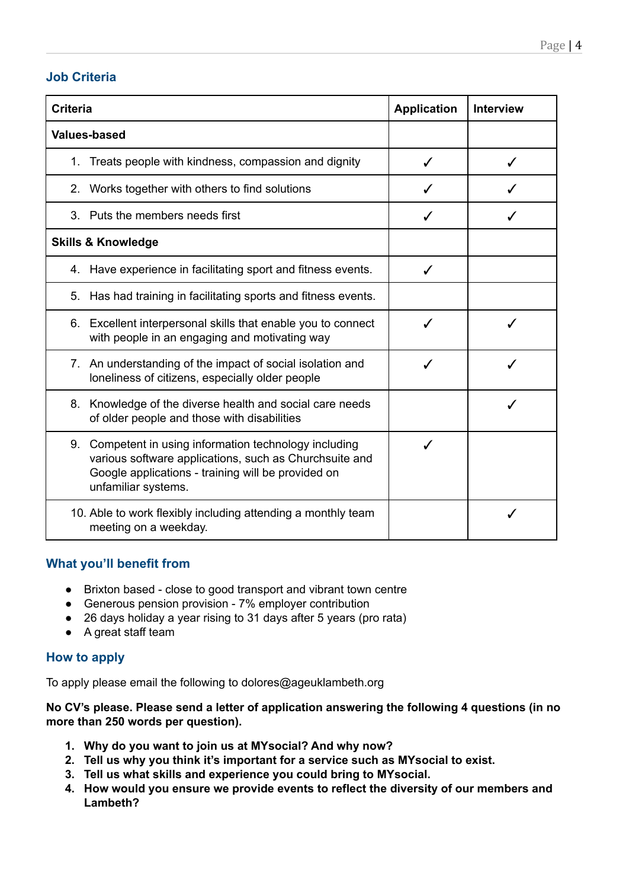## **Job Criteria**

| <b>Criteria</b>                                                                                                                                                                                  | <b>Application</b> | <b>Interview</b> |
|--------------------------------------------------------------------------------------------------------------------------------------------------------------------------------------------------|--------------------|------------------|
| <b>Values-based</b>                                                                                                                                                                              |                    |                  |
| Treats people with kindness, compassion and dignity<br>1.                                                                                                                                        |                    |                  |
| Works together with others to find solutions<br>2.                                                                                                                                               |                    |                  |
| 3. Puts the members needs first                                                                                                                                                                  | ✓                  |                  |
| <b>Skills &amp; Knowledge</b>                                                                                                                                                                    |                    |                  |
| 4. Have experience in facilitating sport and fitness events.                                                                                                                                     | ✓                  |                  |
| Has had training in facilitating sports and fitness events.<br>5.                                                                                                                                |                    |                  |
| 6. Excellent interpersonal skills that enable you to connect<br>with people in an engaging and motivating way                                                                                    | J                  |                  |
| 7. An understanding of the impact of social isolation and<br>loneliness of citizens, especially older people                                                                                     |                    |                  |
| 8. Knowledge of the diverse health and social care needs<br>of older people and those with disabilities                                                                                          |                    |                  |
| Competent in using information technology including<br>9.<br>various software applications, such as Churchsuite and<br>Google applications - training will be provided on<br>unfamiliar systems. |                    |                  |
| 10. Able to work flexibly including attending a monthly team<br>meeting on a weekday.                                                                                                            |                    |                  |

## **What you'll benefit from**

- Brixton based close to good transport and vibrant town centre
- Generous pension provision 7% employer contribution
- 26 days holiday a year rising to 31 days after 5 years (pro rata)
- A great staff team

## **How to apply**

To apply please email the following to dolores@ageuklambeth.org

**No CV's please. Please send a letter of application answering the following 4 questions (in no more than 250 words per question).**

- **1. Why do you want to join us at MYsocial? And why now?**
- **2. Tell us why you think it's important for a service such as MYsocial to exist.**
- **3. Tell us what skills and experience you could bring to MYsocial.**
- **4. How would you ensure we provide events to reflect the diversity of our members and Lambeth?**